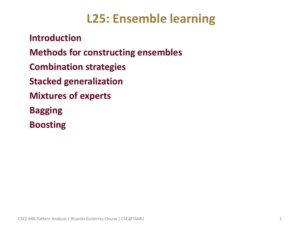## **L25: Ensemble learning**

• **Introduction** • **Methods for constructing ensembles** • **Combination strategies** • **Stacked generalization**  • **Mixtures of experts** • **Bagging** • **Boosting**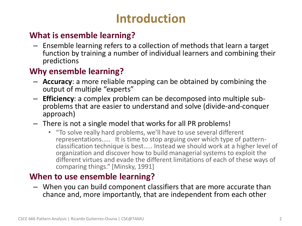## **Introduction**

#### • **What is ensemble learning?**

– Ensemble learning refers to a collection of methods that learn a target function by training a number of individual learners and combining their predictions

#### • **Why ensemble learning?**

- **Accuracy**: a more reliable mapping can be obtained by combining the output of multiple "experts"
- **Efficiency**: a complex problem can be decomposed into multiple subproblems that are easier to understand and solve (divide-and-conquer approach)
- There is not a single model that works for all PR problems!
	- "To solve really hard problems, we'll have to use several different representations..... It is time to stop arguing over which type of patternclassification technique is best..... Instead we should work at a higher level of organization and discover how to build managerial systems to exploit the different virtues and evade the different limitations of each of these ways of comparing things." [Minsky, 1991]

#### • **When to use ensemble learning?**

– When you can build component classifiers that are more accurate than chance and, more importantly, that are independent from each other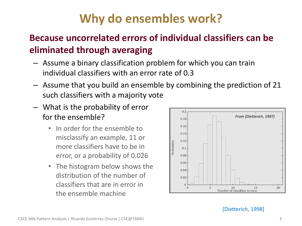## **Why do ensembles work?**

## • **Because uncorrelated errors of individual classifiers can be eliminated through averaging**

- Assume a binary classification problem for which you can train individual classifiers with an error rate of 0.3
- Assume that you build an ensemble by combining the prediction of 21 such classifiers with a majority vote
- What is the probability of error for the ensemble?
	- In order for the ensemble to misclassify an example, 11 or more classifiers have to be in error, or a probability of 0.026
	- The histogram below shows the distribution of the number of classifiers that are in error in the ensemble machine



[Dietterich, 1998]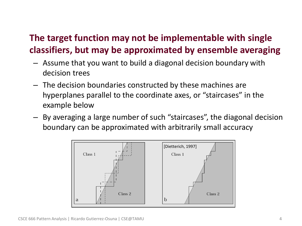## • **The target function may not be implementable with single classifiers, but may be approximated by ensemble averaging**

- Assume that you want to build a diagonal decision boundary with decision trees
- The decision boundaries constructed by these machines are hyperplanes parallel to the coordinate axes, or "staircases" in the example below
- By averaging a large number of such "staircases", the diagonal decision boundary can be approximated with arbitrarily small accuracy

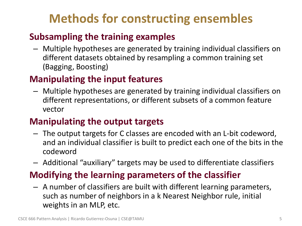# **Methods for constructing ensembles**

### • **Subsampling the training examples**

– Multiple hypotheses are generated by training individual classifiers on different datasets obtained by resampling a common training set (Bagging, Boosting)

### • **Manipulating the input features**

– Multiple hypotheses are generated by training individual classifiers on different representations, or different subsets of a common feature vector

#### • **Manipulating the output targets**

- The output targets for C classes are encoded with an L-bit codeword, and an individual classifier is built to predict each one of the bits in the codeword
- Additional "auxiliary" targets may be used to differentiate classifiers

### • **Modifying the learning parameters of the classifier**

– A number of classifiers are built with different learning parameters, such as number of neighbors in a k Nearest Neighbor rule, initial weights in an MLP, etc.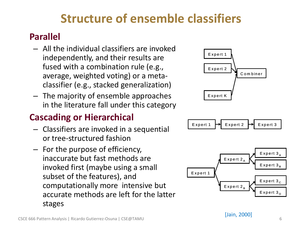## **Structure of ensemble classifiers**

### • **Parallel**

- All the individual classifiers are invoked independently, and their results are fused with a combination rule (e.g., average, weighted voting) or a metaclassifier (e.g., stacked generalization)
- The majority of ensemble approaches in the literature fall under this category

### • **Cascading or Hierarchical**

- Classifiers are invoked in a sequential or tree-structured fashion
- For the purpose of efficiency, inaccurate but fast methods are invoked first (maybe using a small subset of the features), and computationally more intensive but accurate methods are left for the latter stages





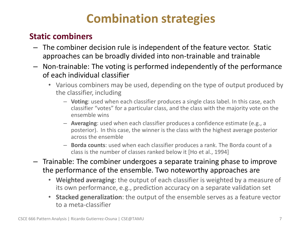## **Combination strategies**

#### • **Static combiners**

- The combiner decision rule is independent of the feature vector. Static approaches can be broadly divided into non-trainable and trainable
- Non-trainable: The voting is performed independently of the performance of each individual classifier
	- Various combiners may be used, depending on the type of output produced by the classifier, including
		- **Voting**: used when each classifier produces a single class label. In this case, each classifier "votes" for a particular class, and the class with the majority vote on the ensemble wins
		- **Averaging**: used when each classifier produces a confidence estimate (e.g., a posterior). In this case, the winner is the class with the highest average posterior across the ensemble
		- **Borda counts**: used when each classifier produces a rank. The Borda count of a class is the number of classes ranked below it [Ho et al., 1994]
- Trainable: The combiner undergoes a separate training phase to improve the performance of the ensemble. Two noteworthy approaches are
	- **Weighted averaging**: the output of each classifier is weighted by a measure of its own performance, e.g., prediction accuracy on a separate validation set
	- **Stacked generalization**: the output of the ensemble serves as a feature vector to a meta-classifier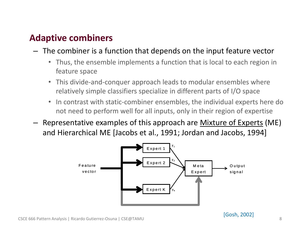#### • **Adaptive combiners**

- The combiner is a function that depends on the input feature vector
	- Thus, the ensemble implements a function that is local to each region in feature space
	- This divide-and-conquer approach leads to modular ensembles where relatively simple classifiers specialize in different parts of I/O space
	- In contrast with static-combiner ensembles, the individual experts here do not need to perform well for all inputs, only in their region of expertise
- Representative examples of this approach are <u>Mixture of Experts</u> (ME)

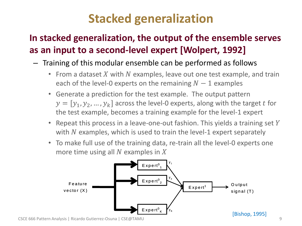## **Stacked generalization**

### • **In stacked generalization, the output of the ensemble serves as an input to a second-level expert [Wolpert, 1992]**

- Training of this modular ensemble can be performed as follows
	- From a dataset X with N examples, leave out one test example, and train each of the level-0 experts on the remaining  $N-1$  examples
	- Generate a prediction for the test example. The output pattern  $y = [y_1, y_2, ..., y_k]$  across the level-0 experts, along with the target t for the test example, becomes a training example for the level-1 expert
	- Repeat this process in a leave-one-out fashion. This yields a training set  $Y$ with  $N$  examples, which is used to train the level-1 expert separately
	- To make full use of the training data, re-train all the level-0 experts one more time using all N examples in  $X$ <br>Experi<sup>o<sub>1</sub></sub>  $\leftarrow$  Experi<sup>o<sub>1</sub></sub>  $\leftarrow$  (Experi<sup>o<sub>1</sub>)<sup>1</sup></sup></sup></sup> more time using all N examples in X



CSCE 666 Pattern Analysis | Ricardo Gutierrez-Osuna | CSE@TAMU 9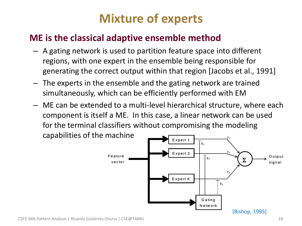## **Mixture of experts**

### • **ME is the classical adaptive ensemble method**

- A gating network is used to partition feature space into different regions, with one expert in the ensemble being responsible for generating the correct output within that region [Jacobs et al., 1991]
- The experts in the ensemble and the gating network are trained simultaneously, which can be efficiently performed with EM
- ME can be extended to a multi-level hierarchical structure, where each component is itself a ME. In this case, a linear network can be used for the terminal classifiers without compromising the modeling a mik<br>mpror<br>Expert 1

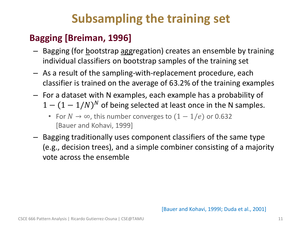# **Subsampling the training set**

### • **Bagging [Breiman, 1996]**

- Bagging (for bootstrap aggregation) creates an ensemble by training individual classifiers on bootstrap samples of the training set
- As a result of the sampling-with-replacement procedure, each classifier is trained on the average of 63.2% of the training examples
- For a dataset with N examples, each example has a probability of  $1 - (1 - 1/N)^N$  of being selected at least once in the N samples.
	- For  $N \to \infty$ , this number converges to  $(1 1/e)$  or 0.632 [Bauer and Kohavi, 1999]
- Bagging traditionally uses component classifiers of the same type (e.g., decision trees), and a simple combiner consisting of a majority vote across the ensemble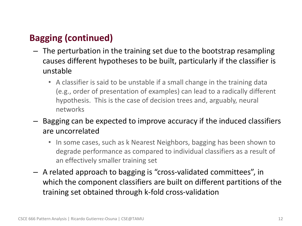## • **Bagging (continued)**

- The perturbation in the training set due to the bootstrap resampling causes different hypotheses to be built, particularly if the classifier is unstable
	- A classifier is said to be unstable if a small change in the training data (e.g., order of presentation of examples) can lead to a radically different hypothesis. This is the case of decision trees and, arguably, neural networks
- Bagging can be expected to improve accuracy if the induced classifiers are uncorrelated
	- In some cases, such as k Nearest Neighbors, bagging has been shown to degrade performance as compared to individual classifiers as a result of an effectively smaller training set
- A related approach to bagging is "cross-validated committees", in which the component classifiers are built on different partitions of the training set obtained through k-fold cross-validation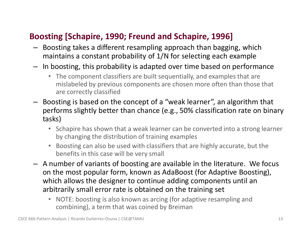#### • **Boosting [Schapire, 1990; Freund and Schapire, 1996]**

- Boosting takes a different resampling approach than bagging, which maintains a constant probability of 1/N for selecting each example
- In boosting, this probability is adapted over time based on performance
	- The component classifiers are built sequentially, and examples that are mislabeled by previous components are chosen more often than those that are correctly classified
- Boosting is based on the concept of a "weak learner", an algorithm that performs slightly better than chance (e.g., 50% classification rate on binary tasks)
	- Schapire has shown that a weak learner can be converted into a strong learner by changing the distribution of training examples
	- Boosting can also be used with classifiers that are highly accurate, but the benefits in this case will be very small
- A number of variants of boosting are available in the literature. We focus on the most popular form, known as AdaBoost (for Adaptive Boosting), which allows the designer to continue adding components until an arbitrarily small error rate is obtained on the training set
	- NOTE: boosting is also known as arcing (for adaptive resampling and combining), a term that was coined by Breiman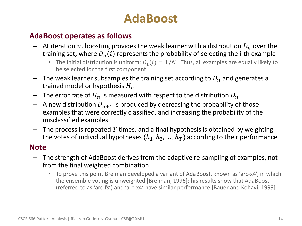## **AdaBoost**

#### • **AdaBoost operates as follows**

- $-$  At iteration *n*, boosting provides the weak learner with a distribution  $D_n$  over the training set, where  $D_n(i)$  represents the probability of selecting the i-th example
	- The initial distribution is uniform:  $D_1(i) = 1/N$ . Thus, all examples are equally likely to be selected for the first component
- $-$  The weak learner subsamples the training set according to  $D_n$  and generates a trained model or hypothesis  $H_n$
- The error rate of  $H_n$  is measured with respect to the distribution  $D_n$
- A new distribution  $D_{n+1}$  is produced by decreasing the probability of those examples that were correctly classified, and increasing the probability of the misclassified examples
- $-$  The process is repeated T times, and a final hypothesis is obtained by weighting the votes of individual hypotheses  $\{h_1, h_2, ..., h_T\}$  according to their performance

#### • **Note**

- The strength of AdaBoost derives from the adaptive re-sampling of examples, not from the final weighted combination
	- To prove this point Breiman developed a variant of AdaBoost, known as 'arc-x4', in which the ensemble voting is unweighted [Breiman, 1996]: his results show that AdaBoost (referred to as 'arc-fs') and 'arc-x4' have similar performance [Bauer and Kohavi, 1999]